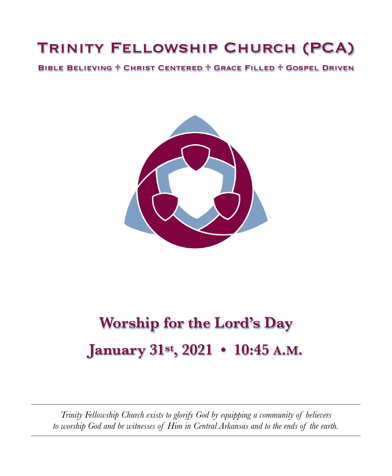## Trinity Fellowship Church (PCA)

Bible Believing ♱ Christ Centered ♱ Grace Filled ♱ Gospel Driven



# **Worship for the Lord's Day January 31st, 2021 • 10:45 A.M.**

*Trinity Fellowship Church exists to glorify God by equipping a community of believers to worship God and be witnesses of Him in Central Arkansas and to the ends of the earth.*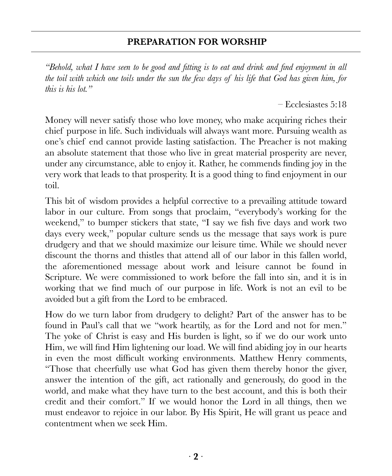### **PREPARATION FOR WORSHIP**

*"Behold, what I have seen to be good and fitting is to eat and drink and find enjoyment in all the toil with which one toils under the sun the few days of his life that God has given him, for this is his lot."*

– Ecclesiastes 5:18

Money will never satisfy those who love money, who make acquiring riches their chief purpose in life. Such individuals will always want more. Pursuing wealth as one's chief end cannot provide lasting satisfaction. The Preacher is not making an absolute statement that those who live in great material prosperity are never, under any circumstance, able to enjoy it. Rather, he commends finding joy in the very work that leads to that prosperity. It is a good thing to find enjoyment in our toil.

This bit of wisdom provides a helpful corrective to a prevailing attitude toward labor in our culture. From songs that proclaim, "everybody's working for the weekend," to bumper stickers that state, "I say we fish five days and work two days every week," popular culture sends us the message that says work is pure drudgery and that we should maximize our leisure time. While we should never discount the thorns and thistles that attend all of our labor in this fallen world, the aforementioned message about work and leisure cannot be found in Scripture. We were commissioned to work before the fall into sin, and it is in working that we find much of our purpose in life. Work is not an evil to be avoided but a gift from the Lord to be embraced.

How do we turn labor from drudgery to delight? Part of the answer has to be found in Paul's call that we "work heartily, as for the Lord and not for men." The yoke of Christ is easy and His burden is light, so if we do our work unto Him, we will find Him lightening our load. We will find abiding joy in our hearts in even the most difficult working environments. Matthew Henry comments, "Those that cheerfully use what God has given them thereby honor the giver, answer the intention of the gift, act rationally and generously, do good in the world, and make what they have turn to the best account, and this is both their credit and their comfort." If we would honor the Lord in all things, then we must endeavor to rejoice in our labor. By His Spirit, He will grant us peace and contentment when we seek Him.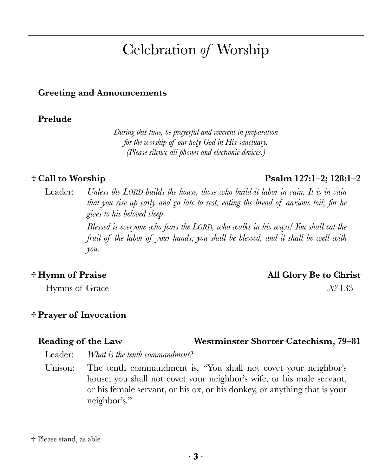## ∙ **3** ∙

## Celebration *of* Worship

#### **Greeting and Announcements**

#### **Prelude**

*During this time, be prayerful and reverent in preparation for the worship of our holy God in His sanctuary. (Please silence all phones and electronic devices.)*

Leader: *Unless the LORD builds the house, those who build it labor in vain. It is in vain that you rise up early and go late to rest, eating the bread of anxious toil; for he gives to his beloved sleep.* 

> *Blessed is everyone who fears the LORD, who walks in his ways! You shall eat the fruit of the labor of your hands; you shall be blessed, and it shall be well with you.*

### **♱ Hymn of Praise All Glory Be to Christ**

# **♱Prayer of Invocation**

Leader: *What is the tenth commandment?*

Unison: The tenth commandment is, "You shall not covet your neighbor's house; you shall not covet your neighbor's wife, or his male servant, or his female servant, or his ox, or his donkey, or anything that is your neighbor's."

### **♱ Call to Worship Psalm 127:1–2; 128:1–2**

## Hymns of Grace *N*<sup>0</sup> 133

## **Reading of the Law Westminster Shorter Catechism, 79–81**

<sup>♱</sup> Please stand, as able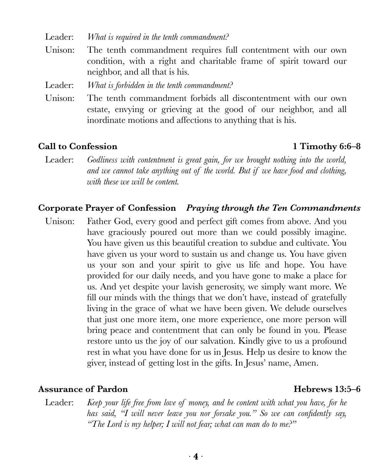Leader: *What is required in the tenth commandment?*

Unison: The tenth commandment requires full contentment with our own condition, with a right and charitable frame of spirit toward our neighbor, and all that is his.

Leader: *What is forbidden in the tenth commandment?*

Unison: The tenth commandment forbids all discontentment with our own estate, envying or grieving at the good of our neighbor, and all inordinate motions and affections to anything that is his.

#### **Call to Confession 1 Timothy 6:6–8**

Leader: Godliness with contentment is great gain, for we brought nothing into the world, *and we cannot take anything out of the world. But if we have food and clothing, with these we will be content.*

#### **Corporate Prayer of Confession** *Praying through the Ten Commandments*

Unison: Father God, every good and perfect gift comes from above. And you have graciously poured out more than we could possibly imagine. You have given us this beautiful creation to subdue and cultivate. You have given us your word to sustain us and change us. You have given us your son and your spirit to give us life and hope. You have provided for our daily needs, and you have gone to make a place for us. And yet despite your lavish generosity, we simply want more. We fill our minds with the things that we don't have, instead of gratefully living in the grace of what we have been given. We delude ourselves that just one more item, one more experience, one more person will bring peace and contentment that can only be found in you. Please restore unto us the joy of our salvation. Kindly give to us a profound rest in what you have done for us in Jesus. Help us desire to know the giver, instead of getting lost in the gifts. In Jesus' name, Amen.

#### **Assurance of Pardon Hebrews 13:5–6**

Leader: *Keep your life free from love of money, and be content with what you have, for he has said, "I will never leave you nor forsake you." So we can confidently say, "The Lord is my helper; I will not fear; what can man do to me?"*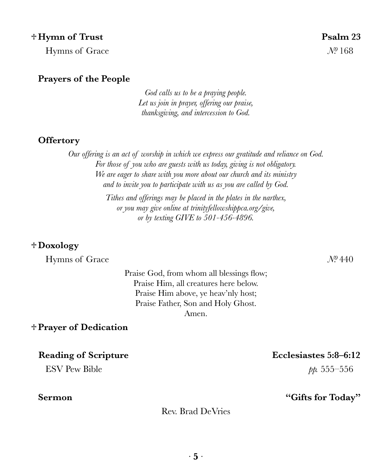#### **♱ Hymn of Trust Psalm 23**

Hymns of Grace *N*<sup>0</sup> 168

#### **Prayers of the People**

*God calls us to be a praying people. Let us join in prayer, offering our praise, thanksgiving, and intercession to God.*

#### **Offertory**

*Our offering is an act of worship in which we express our gratitude and reliance on God. For those of you who are guests with us today, giving is not obligatory. We are eager to share with you more about our church and its ministry and to invite you to participate with us as you are called by God. Tithes and offerings may be placed in the plates in the narthex, or you may give online at [trinityfellowshippca.org/give](https://trinityfellowshippca.org/give), or by texting GIVE to 501-456-4896.*

#### **♱Doxology**

Hymns of Grace *Nº* 440

Praise God, from whom all blessings flow; Praise Him, all creatures here below. Praise Him above, ye heav'nly host; Praise Father, Son and Holy Ghost. Amen.

#### **♱Prayer of Dedication**

**Reading of Scripture Ecclesiastes 5:8–6:12**

ESV Pew Bible *pp.* 555–556

#### **Sermon "Gifts for Today"**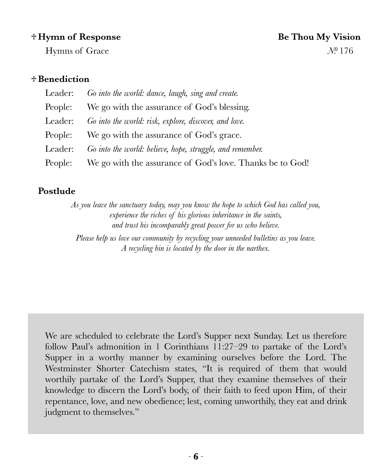#### **♱ Hymn of Response Be Thou My Vision**

# Hymns of Grace *N*<sup>0</sup> 176

### **♱Benediction**

| Leader: Go into the world: dance, laugh, sing and create.         |
|-------------------------------------------------------------------|
| People: We go with the assurance of God's blessing.               |
| Leader: Go into the world: risk, explore, discover, and love.     |
| People: We go with the assurance of God's grace.                  |
| Leader: Go into the world: believe, hope, struggle, and remember. |
| People: We go with the assurance of God's love. Thanks be to God! |

### **Postlude**

*As you leave the sanctuary today, may you know the hope to which God has called you, experience the riches of his glorious inheritance in the saints, and trust his incomparably great power for us who believe.* 

*Please help us love our community by recycling your unneeded bulletins as you leave. A recycling bin is located by the door in the narthex.*

We are scheduled to celebrate the Lord's Supper next Sunday. Let us therefore follow Paul's admonition in 1 Corinthians 11:27–29 to partake of the Lord's Supper in a worthy manner by examining ourselves before the Lord. The Westminster Shorter Catechism states, "It is required of them that would worthily partake of the Lord's Supper, that they examine themselves of their knowledge to discern the Lord's body, of their faith to feed upon Him, of their repentance, love, and new obedience; lest, coming unworthily, they eat and drink judgment to themselves."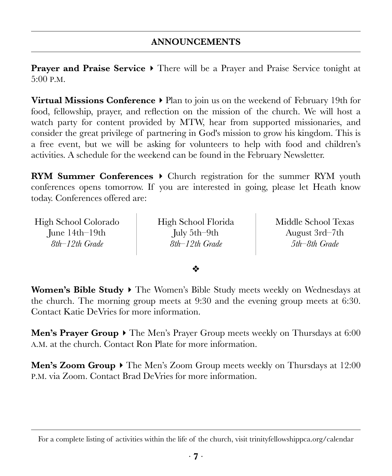## **ANNOUNCEMENTS**

**Prayer and Praise Service**  $\triangleright$  There will be a Prayer and Praise Service tonight at 5:00 P.M.

**Virtual Missions Conference ‣** Plan to join us on the weekend of February 19th for food, fellowship, prayer, and reflection on the mission of the church. We will host a watch party for content provided by MTW, hear from supported missionaries, and consider the great privilege of partnering in God's mission to grow his kingdom. This is a free event, but we will be asking for volunteers to help with food and children's activities. A schedule for the weekend can be found in the February Newsletter.

**RYM Summer Conferences ‣** Church registration for the summer RYM youth conferences opens tomorrow. If you are interested in going, please let Heath know today. Conferences offered are:

High School Colorado June 14th–19th *8th–12th Grade*

High School Florida July 5th–9th *8th–12th Grade*

Middle School Texas August 3rd–7th *5th–8th Grade*

#### ❖

Women's Bible Study  $\triangleright$  The Women's Bible Study meets weekly on Wednesdays at the church. The morning group meets at 9:30 and the evening group meets at 6:30. Contact Katie DeVries for more information.

**Men's Prayer Group**  $\triangleright$  The Men's Prayer Group meets weekly on Thursdays at 6:00 A.M. at the church. Contact Ron Plate for more information.

**Men's Zoom Group**  $\triangleright$  The Men's Zoom Group meets weekly on Thursdays at 12:00 P.M. via Zoom. Contact Brad DeVries for more information.

For a complete listing of activities within the life of the church, visit [trinityfellowshippca.org/calendar](https://trinityfellowshippca.org/calendar)